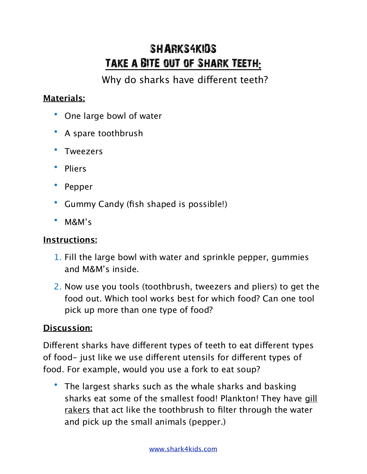## SHARKS4KIDS Take a BITE ouT of Shark Teeth**:**

Why do sharks have different teeth?

## **Materials:**

- One large bowl of water
- A spare toothbrush
- Tweezers
- Pliers
- Pepper
- Gummy Candy (fish shaped is possible!)
- M&M's

## **Instructions:**

- 1. Fill the large bowl with water and sprinkle pepper, gummies and M&M's inside.
- 2. Now use you tools (toothbrush, tweezers and pliers) to get the food out. Which tool works best for which food? Can one tool pick up more than one type of food?

## **Discussion:**

Different sharks have different types of teeth to eat different types of food- just like we use different utensils for different types of food. For example, would you use a fork to eat soup?

• The largest sharks such as the whale sharks and basking sharks eat some of the smallest food! Plankton! They have gill rakers that act like the toothbrush to filter through the water and pick up the small animals (pepper.)